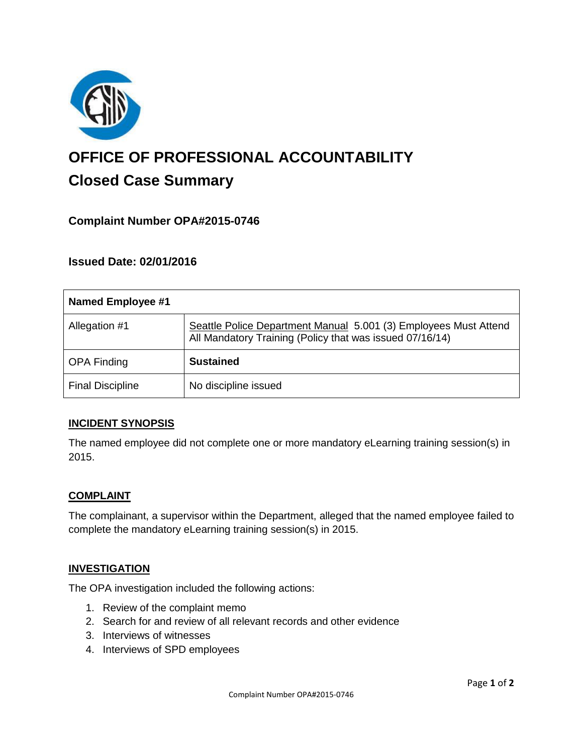

# **OFFICE OF PROFESSIONAL ACCOUNTABILITY Closed Case Summary**

# **Complaint Number OPA#2015-0746**

# **Issued Date: 02/01/2016**

| <b>Named Employee #1</b> |                                                                                                                              |
|--------------------------|------------------------------------------------------------------------------------------------------------------------------|
| Allegation #1            | Seattle Police Department Manual 5.001 (3) Employees Must Attend<br>All Mandatory Training (Policy that was issued 07/16/14) |
| <b>OPA Finding</b>       | <b>Sustained</b>                                                                                                             |
| <b>Final Discipline</b>  | No discipline issued                                                                                                         |

## **INCIDENT SYNOPSIS**

The named employee did not complete one or more mandatory eLearning training session(s) in 2015.

#### **COMPLAINT**

The complainant, a supervisor within the Department, alleged that the named employee failed to complete the mandatory eLearning training session(s) in 2015.

## **INVESTIGATION**

The OPA investigation included the following actions:

- 1. Review of the complaint memo
- 2. Search for and review of all relevant records and other evidence
- 3. Interviews of witnesses
- 4. Interviews of SPD employees